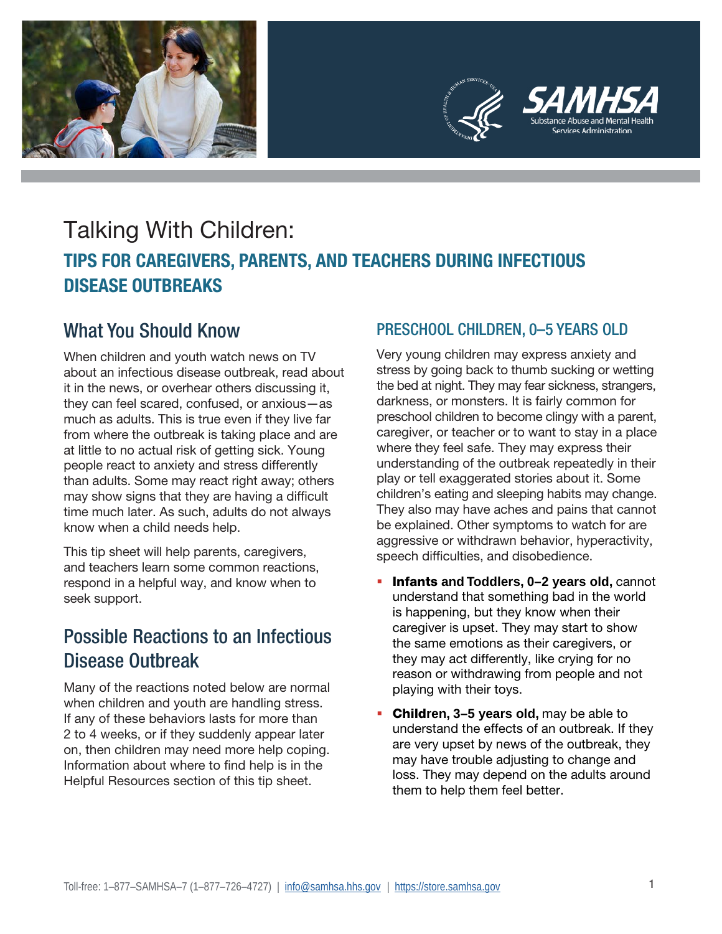



# Talking With Children: **TIPS FOR CAREGIVERS, PARENTS, AND TEACHERS DURING INFECTIOUS DISEASE OUTBREAKS**

## What You Should Know

When children and youth watch news on TV about an infectious disease outbreak, read about it in the news, or overhear others discussing it, they can feel scared, confused, or anxious—as much as adults. This is true even if they live far from where the outbreak is taking place and are at little to no actual risk of getting sick. Young people react to anxiety and stress differently than adults. Some may react right away; others may show signs that they are having a difficult time much later. As such, adults do not always know when a child needs help.

This tip sheet will help parents, caregivers, and teachers learn some common reactions, respond in a helpful way, and know when to seek support.

## Possible Reactions to an Infectious Disease Outbreak

Many of the reactions noted below are normal when children and youth are handling stress. If any of these behaviors lasts for more than 2 to 4 weeks, or if they suddenly appear later on, then children may need more help coping. Information about where to find help is in the Helpful Resources section of this tip sheet.

### PRESCHOOL CHILDREN, 0–5 YEARS OLD

Very young children may express anxiety and stress by going back to thumb sucking or wetting the bed at night. They may fear sickness, strangers, darkness, or monsters. It is fairly common for preschool children to become clingy with a parent, caregiver, or teacher or to want to stay in a place where they feel safe. They may express their understanding of the outbreak repeatedly in their play or tell exaggerated stories about it. Some children's eating and sleeping habits may change. They also may have aches and pains that cannot be explained. Other symptoms to watch for are aggressive or withdrawn behavior, hyperactivity, speech difficulties, and disobedience.

- **Infants and Toddlers, 0–2 years old, cannot** understand that something bad in the world is happening, but they know when their caregiver is upset. They may start to show the same emotions as their caregivers, or they may act differently, like crying for no reason or withdrawing from people and not playing with their toys.
- Child**ren, 3–5 years old,** may be able to understand the effects of an outbreak. If they are very upset by news of the outbreak, they may have trouble adjusting to change and loss. They may depend on the adults around them to help them feel better.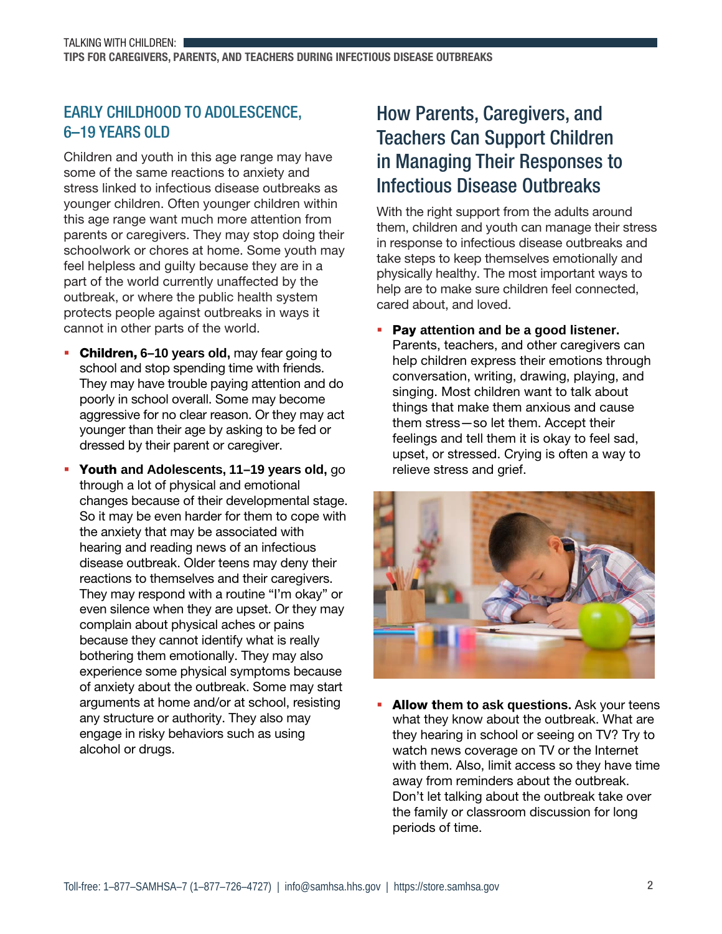### EARLY CHILDHOOD TO ADOLESCENCE, 6–19 YEARS OLD

Children and youth in this age range may have some of the same reactions to anxiety and stress linked to infectious disease outbreaks as younger children. Often younger children within this age range want much more attention from parents or caregivers. They may stop doing their schoolwork or chores at home. Some youth may feel helpless and guilty because they are in a part of the world currently unaffected by the outbreak, or where the public health system protects people against outbreaks in ways it cannot in other parts of the world.

- Children, **6–10 years old,** may fear going to school and stop spending time with friends. They may have trouble paying attention and do poorly in school overall. Some may become aggressive for no clear reason. Or they may act younger than their age by asking to be fed or dressed by their parent or caregiver.
- Youth **and Adolescents, 11–19 years old,** go through a lot of physical and emotional changes because of their developmental stage. So it may be even harder for them to cope with the anxiety that may be associated with hearing and reading news of an infectious disease outbreak. Older teens may deny their reactions to themselves and their caregivers. They may respond with a routine "I'm okay" or even silence when they are upset. Or they may complain about physical aches or pains because they cannot identify what is really bothering them emotionally. They may also experience some physical symptoms because of anxiety about the outbreak. Some may start arguments at home and/or at school, resisting any structure or authority. They also may engage in risky behaviors such as using alcohol or drugs.

## How Parents, Caregivers, and Teachers Can Support Children in Managing Their Responses to Infectious Disease Outbreaks

With the right support from the adults around them, children and youth can manage their stress in response to infectious disease outbreaks and take steps to keep themselves emotionally and physically healthy. The most important ways to help are to make sure children feel connected, cared about, and loved.

 Pay **attention and be a good listener.** Parents, teachers, and other caregivers can help children express their emotions through conversation, writing, drawing, playing, and singing. Most children want to talk about things that make them anxious and cause them stress—so let them. Accept their feelings and tell them it is okay to feel sad, upset, or stressed. Crying is often a way to relieve stress and grief.



 Allow t**hem to ask questions.** Ask your teens what they know about the outbreak. What are they hearing in school or seeing on TV? Try to watch news coverage on TV or the Internet with them. Also, limit access so they have time away from reminders about the outbreak. Don't let talking about the outbreak take over the family or classroom discussion for long periods of time.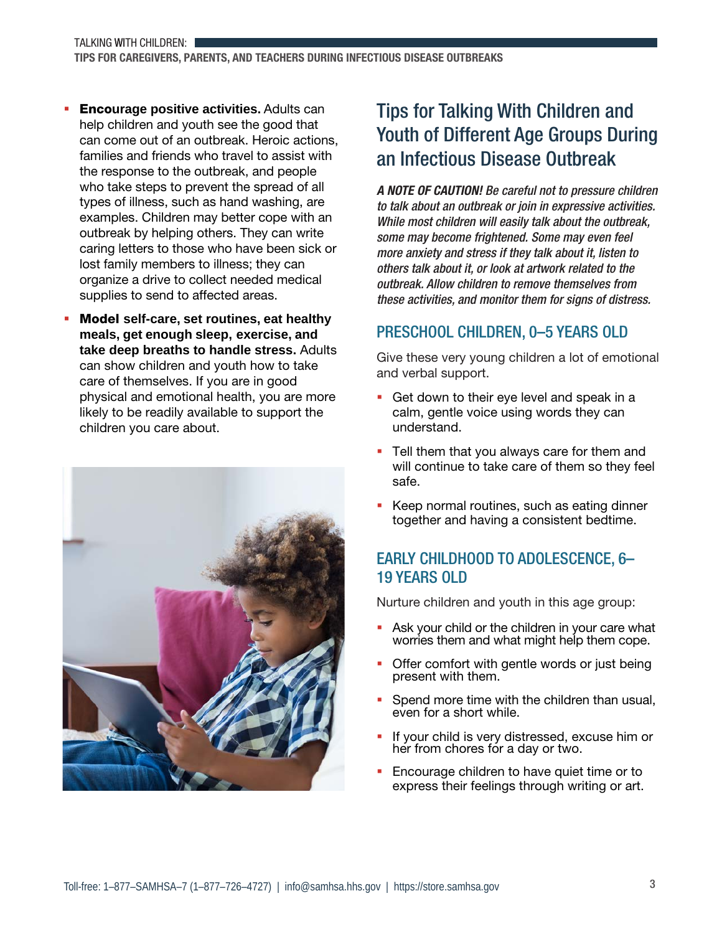- Enco**urage positive activities.** Adults can help children and youth see the good that can come out of an outbreak. Heroic actions, families and friends who travel to assist with the response to the outbreak, and people who take steps to prevent the spread of all types of illness, such as hand washing, are examples. Children may better cope with an outbreak by helping others. They can write caring letters to those who have been sick or lost family members to illness; they can organize a drive to collect needed medical supplies to send to affected areas.
- Model **self-care, set routines, eat healthy meals, get enough sleep, exercise, and take deep breaths to handle stress.** Adults can show children and youth how to take care of themselves. If you are in good physical and emotional health, you are more likely to be readily available to support the children you care about.



## Tips for Talking With Children and Youth of Different Age Groups During an Infectious Disease Outbreak

A NOTE OF CAUTION! Be careful not to pressure children to talk about an outbreak or join in expressive activities. While most children will easily talk about the outbreak, some may become frightened. Some may even feel more anxiety and stress if they talk about it, listen to others talk about it, or look at artwork related to the outbreak. Allow children to remove themselves from these activities, and monitor them for signs of distress.

### PRESCHOOL CHILDREN, 0–5 YEARS OLD

Give these very young children a lot of emotional and verbal support.

- Get down to their eye level and speak in a calm, gentle voice using words they can understand.
- **Tell them that you always care for them and** will continue to take care of them so they feel safe.
- Keep normal routines, such as eating dinner together and having a consistent bedtime.

### EARLY CHILDHOOD TO ADOLESCENCE, 6– 19 YEARS OLD

Nurture children and youth in this age group:

- Ask your child or the children in your care what worries them and what might help them cope.
- Offer comfort with gentle words or just being present with them.
- Spend more time with the children than usual, even for a short while.
- If your child is very distressed, excuse him or her from chores for a day or two.
- **Encourage children to have quiet time or to** express their feelings through writing or art.